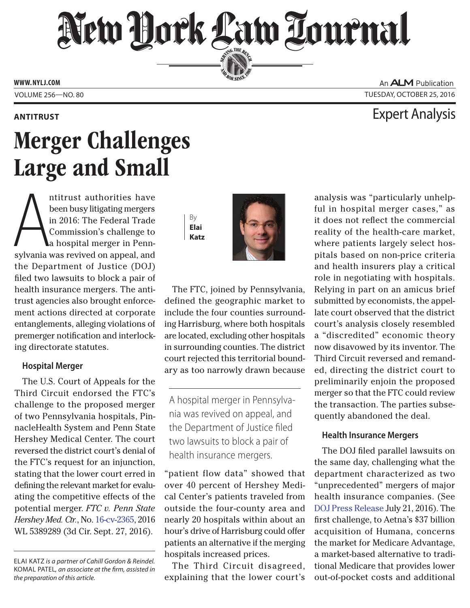## New Hork Law Lournal SERVING THE BET

**ED BAR SINCE 1888** 

**www. NYLJ.com**

An **ALM** Publication Volume 256—NO. 80 Tuesday, October 25, 2016

### **ANTITRUST** Expert Analysis

# Merger Challenges Large and Small

ntitrust authorities have<br>been busy litigating mergers<br>in 2016: The Federal Trade<br>Commission's challenge to<br>a hospital merger in Penn-<br>sylvania was revived on appeal, and ntitrust authorities have been busy litigating mergers in 2016: The Federal Trade Commission's challenge to a hospital merger in Pennthe Department of Justice (DOJ) filed two lawsuits to block a pair of health insurance mergers. The antitrust agencies also brought enforcement actions directed at corporate entanglements, alleging violations of premerger notification and interlocking directorate statutes.

#### **Hospital Merger**

The U.S. Court of Appeals for the Third Circuit endorsed the FTC's challenge to the proposed merger of two Pennsylvania hospitals, PinnacleHealth System and Penn State Hershey Medical Center. The court reversed the district court's denial of the FTC's request for an injunction, stating that the lower court erred in defining the relevant market for evaluating the competitive effects of the potential merger. *FTC v. Penn State Hershey Med. Ctr.*, No. [16-cv-2365,](http://www2.ca3.uscourts.gov/opinarch/162365p.pdf) 2016 WL 5389289 (3d Cir. Sept. 27, 2016).

By **Elai Katz**



The FTC, joined by Pennsylvania, defined the geographic market to include the four counties surrounding Harrisburg, where both hospitals are located, excluding other hospitals in surrounding counties. The district court rejected this territorial boundary as too narrowly drawn because

A hospital merger in Pennsylvania was revived on appeal, and the Department of Justice filed two lawsuits to block a pair of health insurance mergers.

"patient flow data" showed that over 40 percent of Hershey Medical Center's patients traveled from outside the four-county area and nearly 20 hospitals within about an hour's drive of Harrisburg could offer patients an alternative if the merging hospitals increased prices.

The Third Circuit disagreed, explaining that the lower court's

analysis was "particularly unhelpful in hospital merger cases," as it does not reflect the commercial reality of the health-care market, where patients largely select hospitals based on non-price criteria and health insurers play a critical role in negotiating with hospitals. Relying in part on an amicus brief submitted by economists, the appellate court observed that the district court's analysis closely resembled a "discredited" economic theory now disavowed by its inventor. The Third Circuit reversed and remanded, directing the district court to preliminarily enjoin the proposed merger so that the FTC could review the transaction. The parties subsequently abandoned the deal.

### **Health Insurance Mergers**

The DOJ filed parallel lawsuits on the same day, challenging what the department characterized as two "unprecedented" mergers of major health insurance companies. (See [DOJ Press Release](https://www.justice.gov/opa/pr/justice-department-and-state-attorneys-general-sue-block-anthem-s-acquisition-cigna-aetna-s) July 21, 2016). The first challenge, to Aetna's \$37 billion acquisition of Humana, concerns the market for Medicare Advantage, a market-based alternative to traditional Medicare that provides lower out-of-pocket costs and additional

ELAI KATZ *is a partner of Cahill Gordon & Reindel.*  KOMAL PATEL*, an associate at the firm, assisted in the preparation of this article.*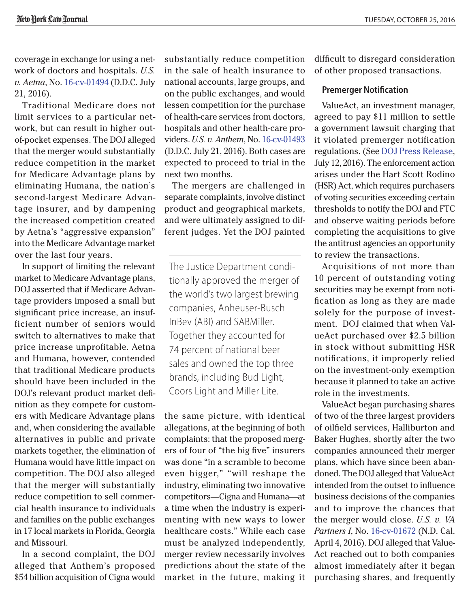coverage in exchange for using a network of doctors and hospitals. *U.S. v. Aetna*, No. [16-cv-01494](https://www.justice.gov/opa/file/877881/download) (D.D.C. July 21, 2016).

Traditional Medicare does not limit services to a particular network, but can result in higher outof-pocket expenses. The DOJ alleged that the merger would substantially reduce competition in the market for Medicare Advantage plans by eliminating Humana, the nation's second-largest Medicare Advantage insurer, and by dampening the increased competition created by Aetna's "aggressive expansion" into the Medicare Advantage market over the last four years.

In support of limiting the relevant market to Medicare Advantage plans, DOJ asserted that if Medicare Advantage providers imposed a small but significant price increase, an insufficient number of seniors would switch to alternatives to make that price increase unprofitable. Aetna and Humana, however, contended that traditional Medicare products should have been included in the DOJ's relevant product market definition as they compete for customers with Medicare Advantage plans and, when considering the available alternatives in public and private markets together, the elimination of Humana would have little impact on competition. The DOJ also alleged that the merger will substantially reduce competition to sell commercial health insurance to individuals and families on the public exchanges in 17 local markets in Florida, Georgia and Missouri.

In a second complaint, the DOJ alleged that Anthem's proposed \$54 billion acquisition of Cigna would substantially reduce competition in the sale of health insurance to national accounts, large groups, and on the public exchanges, and would lessen competition for the purchase of health-care services from doctors, hospitals and other health-care providers. *U.S. v. Anthem*, No. [16-cv-01493](https://www.justice.gov/opa/file/877886/download) (D.D.C. July 21, 2016). Both cases are expected to proceed to trial in the next two months.

The mergers are challenged in separate complaints, involve distinct product and geographical markets, and were ultimately assigned to different judges. Yet the DOJ painted

The Justice Department conditionally approved the merger of the world's two largest brewing companies, Anheuser-Busch InBev (ABI) and SABMiller. Together they accounted for 74 percent of national beer sales and owned the top three brands, including Bud Light, Coors Light and Miller Lite.

the same picture, with identical allegations, at the beginning of both complaints: that the proposed mergers of four of "the big five" insurers was done "in a scramble to become even bigger," "will reshape the industry, eliminating two innovative competitors—Cigna and Humana—at a time when the industry is experimenting with new ways to lower healthcare costs." While each case must be analyzed independently, merger review necessarily involves predictions about the state of the market in the future, making it difficult to disregard consideration of other proposed transactions.

#### **Premerger Notification**

ValueAct, an investment manager, agreed to pay \$11 million to settle a government lawsuit charging that it violated premerger notification regulations. (See [DOJ Press Release](https://www.justice.gov/opa/pr/justice-department-obtains-record-fine-and-injunctive-relief-against-activist-investor), July 12, 2016). The enforcement action arises under the Hart Scott Rodino (HSR) Act, which requires purchasers of voting securities exceeding certain thresholds to notify the DOJ and FTC and observe waiting periods before completing the acquisitions to give the antitrust agencies an opportunity to review the transactions.

Acquisitions of not more than 10 percent of outstanding voting securities may be exempt from notification as long as they are made solely for the purpose of investment. DOJ claimed that when ValueAct purchased over \$2.5 billion in stock without submitting HSR notifications, it improperly relied on the investment-only exemption because it planned to take an active role in the investments.

ValueAct began purchasing shares of two of the three largest providers of oilfield services, Halliburton and Baker Hughes, shortly after the two companies announced their merger plans, which have since been abandoned. The DOJ alleged that ValueAct intended from the outset to influence business decisions of the companies and to improve the chances that the merger would close. *U.S. v. VA Partners I*, No. [16-cv-01672](https://www.justice.gov/atr/file/838076/download) (N.D. Cal. April 4, 2016). DOJ alleged that Value-Act reached out to both companies almost immediately after it began purchasing shares, and frequently